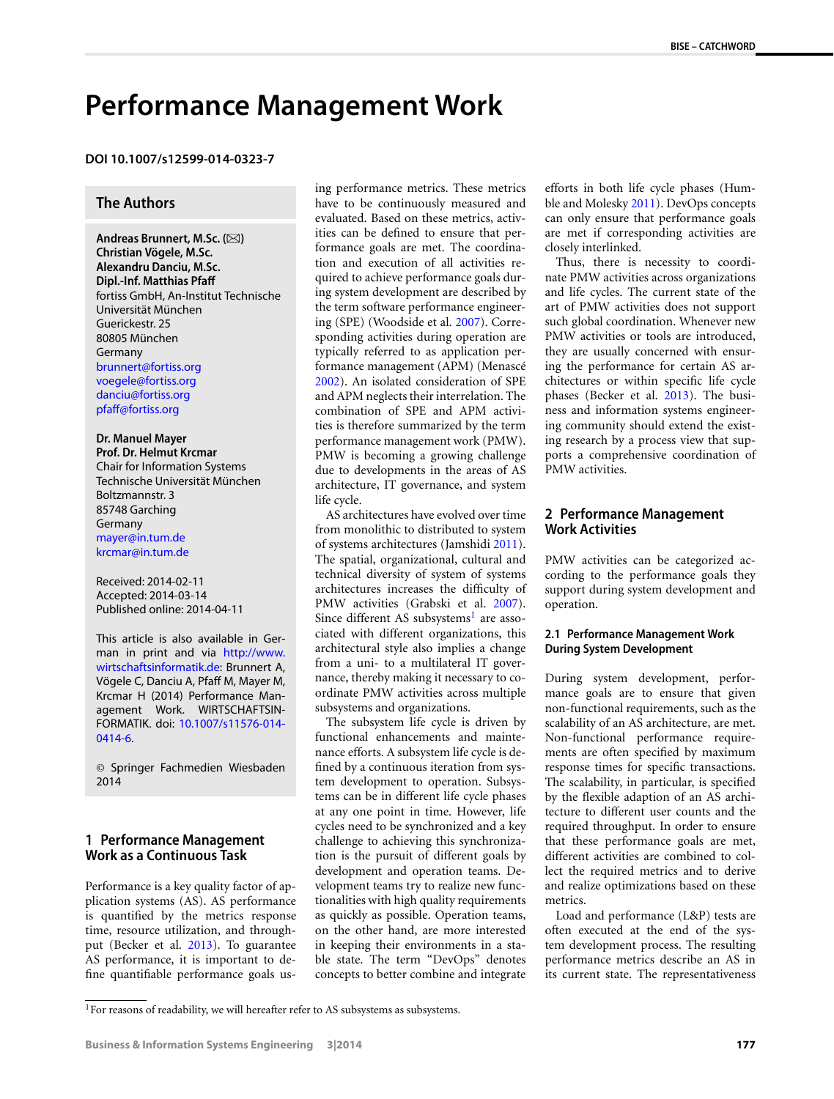# **Performance Management Work**

# **DOI 10.1007/s12599-014-0323-7**

# **The Authors**

 $And$ reas Brunnert, M.Sc. ( $\boxtimes$ ) **Christian Vögele, M.Sc. Alexandru Danciu, M.Sc. Dipl.-Inf. Matthias Pfaff** fortiss GmbH, An-Institut Technische Universität München Guerickestr. 25 80805 München Germany [brunnert@fortiss.org](mailto:brunnert@fortiss.org) [voegele@fortiss.org](mailto:voegele@fortiss.org) [danciu@fortiss.org](mailto:danciu@fortiss.org) [pfaff@fortiss.org](mailto:pfaff@fortiss.org)

#### **Dr. Manuel Mayer**

**Prof. Dr. Helmut Krcmar** Chair for Information Systems Technische Universität München Boltzmannstr. 3 85748 Garching Germany [mayer@in.tum.de](mailto:mayer@in.tum.de) [krcmar@in.tum.de](mailto:krcmar@in.tum.de)

Received: 2014-02-11 Accepted: 2014-03-14 Published online: 2014-04-11

This article is also available in German in print and via [http://www.](http://www.wirtschaftsinformatik.de) [wirtschaftsinformatik.de:](http://www.wirtschaftsinformatik.de) Brunnert A, Vögele C, Danciu A, Pfaff M, Mayer M, Krcmar H (2014) Performance Management Work. WIRTSCHAFTSIN-FORMATIK. doi: [10.1007/s11576-014-](http://dx.doi.org/10.1007/s11576-014-0414-6) [0414-6.](http://dx.doi.org/10.1007/s11576-014-0414-6)

© Springer Fachmedien Wiesbaden 2014

# **1 Performance Management Work as a Continuous Task**

<span id="page-0-0"></span>Performance is a key quality factor of application systems (AS). AS performance is quantified by the metrics response time, resource utilization, and throughput (Becker et al. [2013](#page-2-0)). To guarantee AS performance, it is important to define quantifiable performance goals using performance metrics. These metrics have to be continuously measured and evaluated. Based on these metrics, activities can be defined to ensure that performance goals are met. The coordination and execution of all activities required to achieve performance goals during system development are described by the term software performance engineering (SPE) (Woodside et al. [2007](#page-2-1)). Corresponding activities during operation are typically referred to as application performance management (APM) (Menascé [2002](#page-2-2)). An isolated consideration of SPE and APM neglects their interrelation. The combination of SPE and APM activities is therefore summarized by the term performance management work (PMW). PMW is becoming a growing challenge due to developments in the areas of AS architecture, IT governance, and system life cycle.

AS architectures have evolved over time from monolithic to distributed to system of systems architectures (Jamshidi [2011](#page-2-3)). The spatial, organizational, cultural and technical diversity of system of systems architectures increases the difficulty of PMW activities (Grabski et al. [2007](#page-2-4)). Since different AS subsystems<sup>1</sup> are associated with different organizations, this architectural style also implies a change from a uni- to a multilateral IT governance, thereby making it necessary to coordinate PMW activities across multiple subsystems and organizations.

The subsystem life cycle is driven by functional enhancements and maintenance efforts. A subsystem life cycle is defined by a continuous iteration from system development to operation. Subsystems can be in different life cycle phases at any one point in time. However, life cycles need to be synchronized and a key challenge to achieving this synchronization is the pursuit of different goals by development and operation teams. Development teams try to realize new functionalities with high quality requirements as quickly as possible. Operation teams, on the other hand, are more interested in keeping their environments in a stable state. The term "DevOps" denotes concepts to better combine and integrate

efforts in both life cycle phases (Humble and Molesky [2011](#page-2-5)). DevOps concepts can only ensure that performance goals are met if corresponding activities are closely interlinked.

Thus, there is necessity to coordinate PMW activities across organizations and life cycles. The current state of the art of PMW activities does not support such global coordination. Whenever new PMW activities or tools are introduced, they are usually concerned with ensuring the performance for certain AS architectures or within specific life cycle phases (Becker et al. [2013\)](#page-2-0). The business and information systems engineering community should extend the existing research by a process view that supports a comprehensive coordination of PMW activities.

# **2 Performance Management Work Activities**

PMW activities can be categorized according to the performance goals they support during system development and operation.

#### **2.1 Performance Management Work During System Development**

During system development, performance goals are to ensure that given non-functional requirements, such as the scalability of an AS architecture, are met. Non-functional performance requirements are often specified by maximum response times for specific transactions. The scalability, in particular, is specified by the flexible adaption of an AS architecture to different user counts and the required throughput. In order to ensure that these performance goals are met, different activities are combined to collect the required metrics and to derive and realize optimizations based on these metrics.

Load and performance (L&P) tests are often executed at the end of the system development process. The resulting performance metrics describe an AS in its current state. The representativeness

<sup>&</sup>lt;sup>1</sup>For reasons of readability, we will hereafter refer to AS subsystems as subsystems.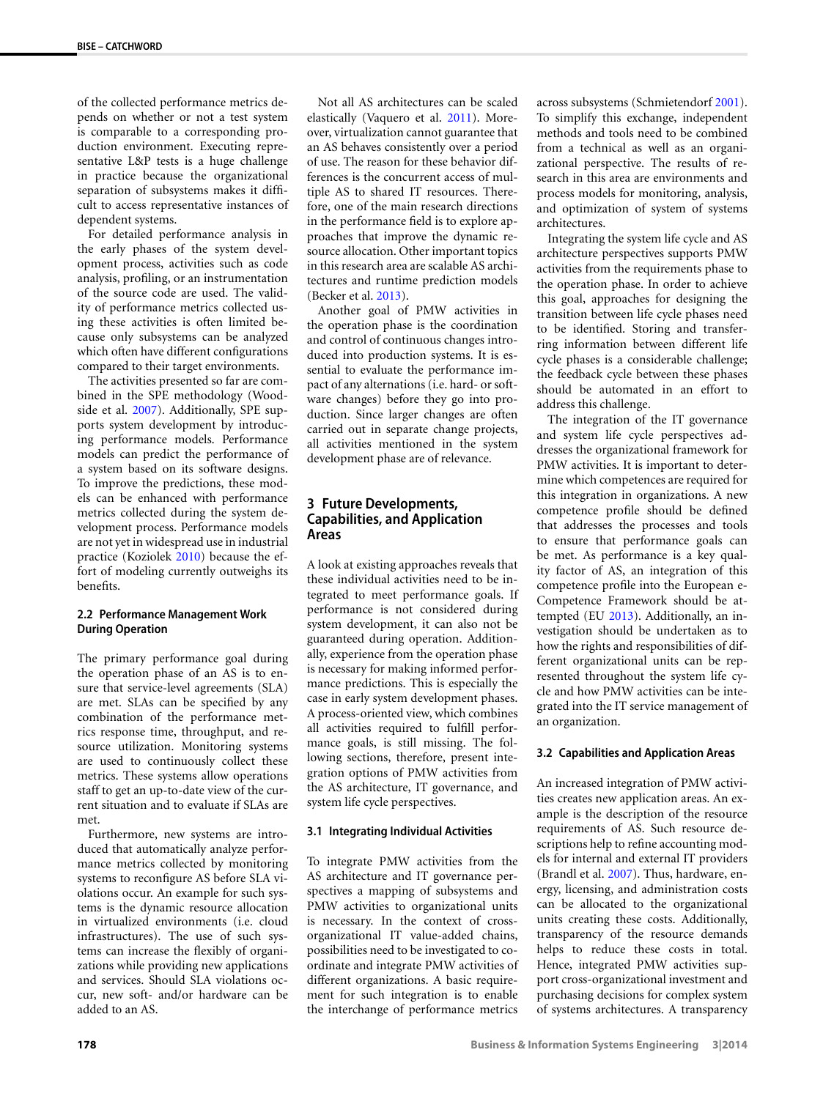of the collected performance metrics depends on whether or not a test system is comparable to a corresponding production environment. Executing representative L&P tests is a huge challenge in practice because the organizational separation of subsystems makes it difficult to access representative instances of dependent systems.

For detailed performance analysis in the early phases of the system development process, activities such as code analysis, profiling, or an instrumentation of the source code are used. The validity of performance metrics collected using these activities is often limited because only subsystems can be analyzed which often have different configurations compared to their target environments.

The activities presented so far are combined in the SPE methodology (Woodside et al. [2007\)](#page-2-1). Additionally, SPE supports system development by introducing performance models. Performance models can predict the performance of a system based on its software designs. To improve the predictions, these models can be enhanced with performance metrics collected during the system development process. Performance models are not yet in widespread use in industrial practice (Koziolek [2010\)](#page-2-6) because the effort of modeling currently outweighs its benefits.

# **2.2 Performance Management Work During Operation**

The primary performance goal during the operation phase of an AS is to ensure that service-level agreements (SLA) are met. SLAs can be specified by any combination of the performance metrics response time, throughput, and resource utilization. Monitoring systems are used to continuously collect these metrics. These systems allow operations staff to get an up-to-date view of the current situation and to evaluate if SLAs are met.

Furthermore, new systems are introduced that automatically analyze performance metrics collected by monitoring systems to reconfigure AS before SLA violations occur. An example for such systems is the dynamic resource allocation in virtualized environments (i.e. cloud infrastructures). The use of such systems can increase the flexibly of organizations while providing new applications and services. Should SLA violations occur, new soft- and/or hardware can be added to an AS.

Not all AS architectures can be scaled elastically (Vaquero et al. [2011](#page-2-7)). Moreover, virtualization cannot guarantee that an AS behaves consistently over a period of use. The reason for these behavior differences is the concurrent access of multiple AS to shared IT resources. Therefore, one of the main research directions in the performance field is to explore approaches that improve the dynamic resource allocation. Other important topics in this research area are scalable AS architectures and runtime prediction models (Becker et al. [2013](#page-2-0)).

Another goal of PMW activities in the operation phase is the coordination and control of continuous changes introduced into production systems. It is essential to evaluate the performance impact of any alternations (i.e. hard- or software changes) before they go into production. Since larger changes are often carried out in separate change projects, all activities mentioned in the system development phase are of relevance.

# **3 Future Developments, Capabilities, and Application Areas**

A look at existing approaches reveals that these individual activities need to be integrated to meet performance goals. If performance is not considered during system development, it can also not be guaranteed during operation. Additionally, experience from the operation phase is necessary for making informed performance predictions. This is especially the case in early system development phases. A process-oriented view, which combines all activities required to fulfill performance goals, is still missing. The following sections, therefore, present integration options of PMW activities from the AS architecture, IT governance, and system life cycle perspectives.

#### **3.1 Integrating Individual Activities**

To integrate PMW activities from the AS architecture and IT governance perspectives a mapping of subsystems and PMW activities to organizational units is necessary. In the context of crossorganizational IT value-added chains, possibilities need to be investigated to coordinate and integrate PMW activities of different organizations. A basic requirement for such integration is to enable the interchange of performance metrics across subsystems (Schmietendorf [2001](#page-2-8)). To simplify this exchange, independent methods and tools need to be combined from a technical as well as an organizational perspective. The results of research in this area are environments and process models for monitoring, analysis, and optimization of system of systems architectures.

Integrating the system life cycle and AS architecture perspectives supports PMW activities from the requirements phase to the operation phase. In order to achieve this goal, approaches for designing the transition between life cycle phases need to be identified. Storing and transferring information between different life cycle phases is a considerable challenge; the feedback cycle between these phases should be automated in an effort to address this challenge.

The integration of the IT governance and system life cycle perspectives addresses the organizational framework for PMW activities. It is important to determine which competences are required for this integration in organizations. A new competence profile should be defined that addresses the processes and tools to ensure that performance goals can be met. As performance is a key quality factor of AS, an integration of this competence profile into the European e-Competence Framework should be attempted (EU [2013](#page-2-9)). Additionally, an investigation should be undertaken as to how the rights and responsibilities of different organizational units can be represented throughout the system life cycle and how PMW activities can be integrated into the IT service management of an organization.

#### **3.2 Capabilities and Application Areas**

An increased integration of PMW activities creates new application areas. An example is the description of the resource requirements of AS. Such resource descriptions help to refine accounting models for internal and external IT providers (Brandl et al. [2007](#page-2-10)). Thus, hardware, energy, licensing, and administration costs can be allocated to the organizational units creating these costs. Additionally, transparency of the resource demands helps to reduce these costs in total. Hence, integrated PMW activities support cross-organizational investment and purchasing decisions for complex system of systems architectures. A transparency